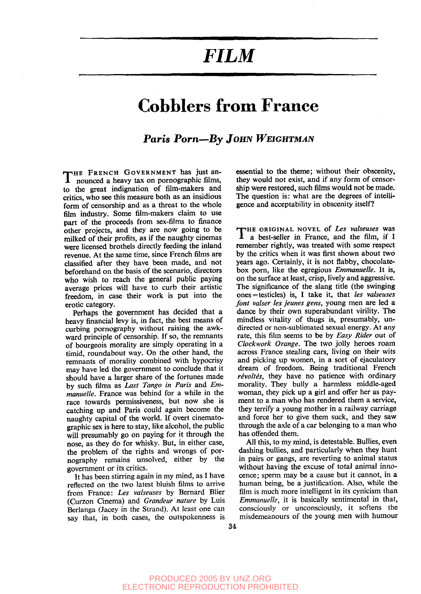## *FILM*

### **Cobblers from France**

#### *Paris Porn—By JOHN WEIGHTMAN*

THE FRENCH GOVERNMENT has just an-<br>nounced a heavy tax on pornographic films, nounced a heavy tax on pornographic films, to the great indignation of film-makers and critics, who see this measure both as an insidious form of censorship and as a threat to the whole film industry. Some film-makers claim to use part of the proceeds from sex-films to finance other projects, and they are now going to be milked of their profits, as if the naughty cinemas were licensed brothels directly feeding the inland revenue. At the same time, since French films are classified after they have been made, and not beforehand on the basis of the scenario, directors who wish to reach the general public paying average prices will have to curb their artistic freedom, in case their work is put into the erotic category.

Perhaps the government has decided that a heavy financial levy is, in fact, the best means of curbing pornography without raising the awkward principle of censorship. If so, the remnants of bourgeois morality are simply operating in a timid, roundabout way. On the other hand, the remnants of morality combined with hypocrisy may have led the government to conclude that it should have a larger share of the fortunes made by such films as *Last Tango in Paris* and *Emmanuelle.* France was behind for a while in the race towards permissiveness, but now she is catching up and Paris could again become the naughty capital of the world. If overt cinematographic sex is here to stay, like alcohol, the public will presumably go on paying for it through the nose, as they do for whisky. But, in either case, the problem of the rights and wrongs of pornography remains unsolved, either by the government or its critics.

It has been stirring again in my mind, as I have reflected on the two latest bluish films to arrive from France: *Les valseuses* by Bernard Blier (Curzon Cinema) and *Grandeur nature* by Luis Berlanga (Jacey in the Strand). At least one can say that, in both cases, the outspokenness is

essential to the theme; without their obscenity, they would not exist, and if any form of censorship were restored, such films would not be made. The question is: what are the degrees of intelligence and acceptability in obscenity itself?

THE ORIGINAL NOVEL of Les valseuses was<br> **T** a best-seller in France, and the film, if I a best-seller in France, and the film, if I remember rightly, was treated with some respect by the critics when it was first shown about two years ago. Certainly, it is not flabby, chocolatebox porn, like the egregious *Emmanuelle.* It is, on the surface at least, crisp, lively and aggressive. The significance of the slang title (the swinging ones = testicles) is, I take it, that *les valseuses font valser les jeunes gens,* young men are led a dance by their own superabundant virility. The mindless vitality of thugs is, presumably, undirected or non-sublimated sexual energy. At any rate, this film seems to be by *Easy Rider* out of *Clockwork Orange.* The two jolly heroes roam across France stealing cars, living on their wits and picking up women, in a sort of ejaculatory dream of freedom. Being traditional French *revolts,* they have no patience with ordinary morality. They bully a harmless middle-aged woman, they pick up a girl and offer her as payment to a man who has rendered them a service, they terrify a young mother in a railway carriage and force her to give them suck, and they saw through the axle of a car belonging to a man who has offended them.

All this, to my mind, is detestable. Bullies, even dashing bullies, and particularly when they hunt in pairs or gangs, are reverting to animal status without having the excuse of total animal innocence; sperm may be a cause but it cannot, in a human being, be a justification. Also, while the film is much more intelligent in its cynicism than *Emmanuelle,* it is basically sentimental in that, consciously or unconsciously, it softens the misdemeanours of the young men with humour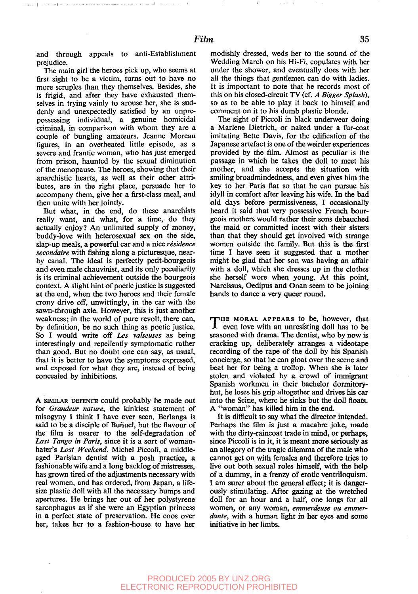and through appeals to anti-Establishment prejudice.

real dealers

متماولهما مماعى

The main girl the heroes pick up, who seems at first sight to be a victim, turns out to have no more scruples than they themselves. Besides, she is frigid, and after they have exhausted themselves in trying vainly to arouse her, she is suddenly and unexpectedly satisfied by an unprepossessing individual, a genuine homicidal criminal, in comparison with whom they are a couple of bungling amateurs. Jeanne Moreau figures, in an overheated little episode, as a severe and frantic woman, who has just emerged from prison, haunted by the sexual diminution of the menopause. The heroes, showing that their anarchistic hearts, as well as their other attributes, are in the right place, persuade her to accompany them, give her a first-class meal, and then unite with her jointly.

But what, in the end, do these anarchists really want, and what, for a time, do they actually enjoy? An unlimited supply of money, buddy-love with heterosexual sex on the side, slap-up meals, a powerful car and a nice *résidence secondaire* with fishing along a picturesque, nearby canal. The ideal is perfectly petit-bourgeois and even male chauvinist, and its only peculiarity is its criminal achievement outside the bourgeois context. A slight hint of poetic justice is suggested at the end, when the two heroes and their female crony drive off, unwittingly, in the car with the sawn-through axle. However, this is just another weakness; in the world of pure revolt, there can, by definition, be no such thing as poetic justice. So I would write off *Les valseuses* as being interestingly and repellently symptomatic rather than good. But no doubt one can say, as usual, that it is better to have the symptoms expressed, and exposed for what they are, instead of being concealed by inhibitions.

A SIMILAR DEFENCE could probably be made out for *Grandeur nature,* the kinkiest statement of misogyny I think I have ever seen. Berlanga is said to be a disciple of Buñuel, but the flavour of the film is nearer to the seif-degradation of *Last Tango in Paris,* since it is a sort of womanhater's *Lost Weekend.* Michel Piccoli, a middleaged Parisian dentist with a posh practice, a fashionable wife and a long backlog of mistresses, has grown tired of the adjustments necessary with real women, and has ordered, from Japan, a lifesize plastic doll with all the necessary bumps and apertures. He brings her out of her polystyrene sarcophagus as if she were an Egyptian princess in a perfect state of preservation. He coos over her, takes her to a fashion-house to have her

modishly dressed, weds her to the sound of the Wedding March on his Hi-Fi, copulates with her under the shower, and eventually does with her all the things that gentlemen can do with ladies. It is important to note that he records most of this on his closed-circuit TV (cf. *A Bigger Splash),* so as to be able to play it back to himself and comment on it to his dumb plastic blonde.

The sight of Piccoli in black underwear doing a Marlene Dietrich, or naked under a fur-coat imitating Bette Davis, for the edification of the Japanese artefact is one of the weirder experiences provided by the film. Almost as peculiar is the passage in which he takes the doll to meet his mother, and she accepts the situation with smiling broadmindedness, and even gives him the key to her Paris flat so that he can pursue his idyll in comfort after leaving his wife. In the bad old days before permissiveness, I occasionally heard it said that very possessive French bourgeois mothers would rather their sons debauched the maid or committed incest with their sisters than that they should get involved with strange women outside the family. But this is the first time I have seen it suggested that a mother might be glad that her son was having an affair with a doll, which she dresses up in the clothes she herself wore when young. At this point, Narcissus, Oedipus and Onan seem to be joining hands to dance a very queer round.

THE MORAL APPEARS to be, however, that even love with an unresisting doll has to be HE MORAL APPEARS to be, however, that seasoned with drama. The dentist, who by now is cracking up, deliberately arranges a videotape recording of the rape of the doll by his Spanish concierge, so that he can gloat over the scene and beat her for being a trollop. When she is later stolen and violated by a crowd of immigrant Spanish workmen in their bachelor dormitoryhut, he loses his grip altogether and drives his car into the Seine, where he sinks but the doll floats. A "woman" has killed him in the end.

It is difficult to say what the director intended. Perhaps the film is just a macabre joke, made with the dirty-raincoat trade in mind, or perhaps, since Piccoli is in it, it is meant more seriously as an allegory of the tragic dilemma of the male who cannot get on with females and therefore tries to live out both sexual roles himself, with the help of a dummy, in a frenzy of erotic ventriloquism. I am surer about the general effect; it is dangerously stimulating. After gazing at the wretched doll for an hour and a half, one longs for all women, or any woman, *emmerdeuse ou emmerdante,* with a human light in her eyes and some initiative in her limbs.